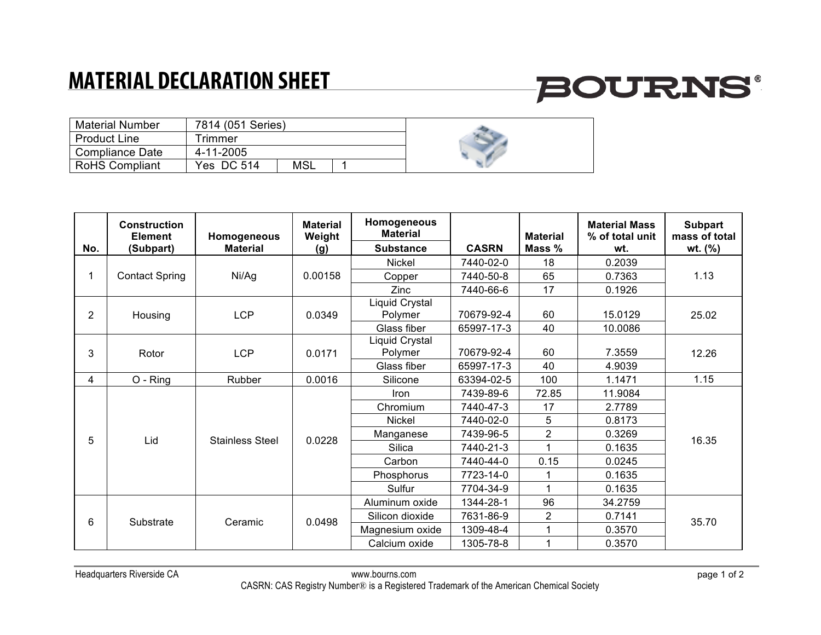### **MATERIAL DECLARATION SHEET**

# **BOURNS®**

| <b>Material Number</b> | 7814 (051 Series) |     |  |
|------------------------|-------------------|-----|--|
| <b>Product Line</b>    | Trimmer           |     |  |
| <b>Compliance Date</b> | 4-11-2005         |     |  |
| <b>RoHS Compliant</b>  | Yes DC 514        | MSL |  |

|                | <b>Construction</b><br><b>Element</b> | Homogeneous<br><b>Material</b> | <b>Material</b><br>Weight | Homogeneous<br><b>Material</b> | <b>CASRN</b> | <b>Material</b> | <b>Material Mass</b><br>% of total unit | <b>Subpart</b><br>mass of total |
|----------------|---------------------------------------|--------------------------------|---------------------------|--------------------------------|--------------|-----------------|-----------------------------------------|---------------------------------|
| No.            | (Subpart)                             |                                | (g)                       | <b>Substance</b>               |              | Mass %          | wt.                                     | wt. $(%)$                       |
|                | <b>Contact Spring</b>                 | Ni/Ag                          | 0.00158                   | <b>Nickel</b>                  | 7440-02-0    | 18              | 0.2039                                  | 1.13                            |
|                |                                       |                                |                           | Copper                         | 7440-50-8    | 65              | 0.7363                                  |                                 |
|                |                                       |                                |                           | Zinc                           | 7440-66-6    | 17              | 0.1926                                  |                                 |
| $\overline{2}$ | Housing                               | <b>LCP</b>                     | 0.0349                    | Liquid Crystal<br>Polymer      | 70679-92-4   | 60              | 15.0129                                 | 25.02                           |
|                |                                       |                                |                           | Glass fiber                    | 65997-17-3   | 40              | 10.0086                                 |                                 |
| 3              | Rotor                                 | <b>LCP</b>                     | 0.0171                    | Liquid Crystal<br>Polymer      | 70679-92-4   | 60              | 7.3559                                  | 12.26                           |
|                |                                       |                                |                           | Glass fiber                    | 65997-17-3   | 40              | 4.9039                                  |                                 |
| 4              | O - Ring                              | Rubber                         | 0.0016                    | Silicone                       | 63394-02-5   | 100             | 1.1471                                  | 1.15                            |
|                | Lid                                   | <b>Stainless Steel</b>         | 0.0228                    | <b>Iron</b>                    | 7439-89-6    | 72.85           | 11.9084                                 | 16.35                           |
|                |                                       |                                |                           | Chromium                       | 7440-47-3    | 17              | 2.7789                                  |                                 |
|                |                                       |                                |                           | <b>Nickel</b>                  | 7440-02-0    | 5               | 0.8173                                  |                                 |
| 5              |                                       |                                |                           | Manganese                      | 7439-96-5    | $\overline{c}$  | 0.3269                                  |                                 |
|                |                                       |                                |                           | Silica                         | 7440-21-3    |                 | 0.1635                                  |                                 |
|                |                                       |                                |                           | Carbon                         | 7440-44-0    | 0.15            | 0.0245                                  |                                 |
|                |                                       |                                |                           | Phosphorus                     | 7723-14-0    |                 | 0.1635                                  |                                 |
|                |                                       |                                |                           | Sulfur                         | 7704-34-9    | $\overline{A}$  | 0.1635                                  |                                 |
|                | Substrate                             | Ceramic                        | 0.0498                    | Aluminum oxide                 | 1344-28-1    | 96              | 34.2759                                 | 35.70                           |
|                |                                       |                                |                           | Silicon dioxide                | 7631-86-9    | $\overline{2}$  | 0.7141                                  |                                 |
| 6              |                                       |                                |                           | Magnesium oxide                | 1309-48-4    |                 | 0.3570                                  |                                 |
|                |                                       |                                |                           | Calcium oxide                  | 1305-78-8    |                 | 0.3570                                  |                                 |